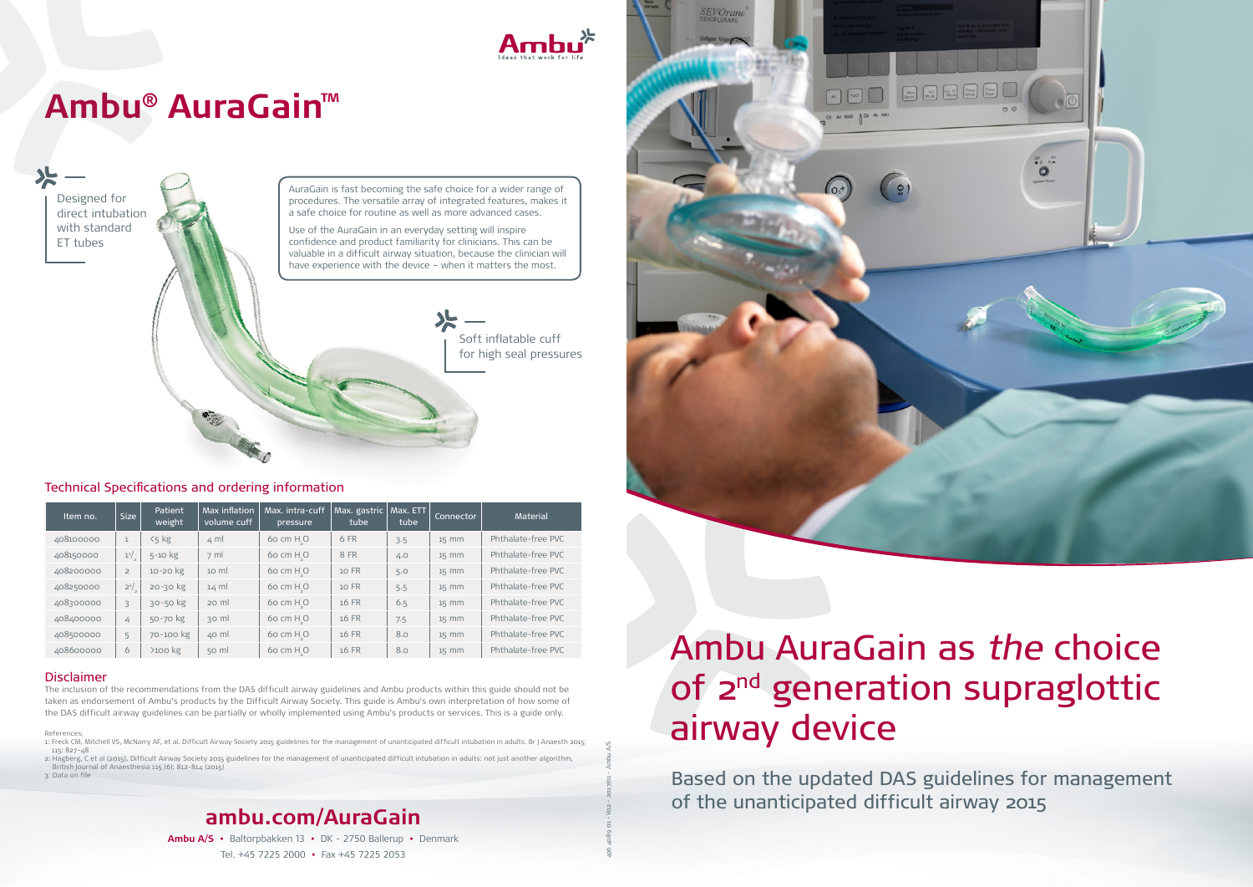Designed for direct intubation with standard ET tubes



Soft inflatable cuff for high seal pressures

496 4089 01 - V02 - 2017/01 - Ambu A/S

# Ambu AuraGain as the choice of 2<sup>nd</sup> generation supraglottic airway device

Based on the updated DAS guidelines for management of the unanticipated difficult airway 2015



#### Disclaimer

The inclusion of the recommendations from the DAS difficult airway guidelines and Ambu products within this guide should not be taken as endorsement of Ambu's products by the Difficult Airway Society. This guide is Ambu's own interpretation of how some of the DAS difficult airway guidelines can be partially or wholly implemented using Ambu's products or services. This is a guide only.

References;

1: Freck CM, Mitchell VS, McNarry AF, et al. Difficult Airway Society 2015 guidelines for the management of unanticipated difficult intubation in adults. Br J Anaesth 2015; 115: 827–48

2: Hagberg, C et al (2015), Difficult Airway Society 2015 guidelines for the management of unanticipated difficult intubation in adults: not just another algorithm, British Journal of Anaesthesia 115 (6): 812-814 (2015)

3: Data on file

AuraGain is fast becoming the safe choice for a wider range of procedures. The versatile array of integrated features, makes it a safe choice for routine as well as more advanced cases.

Use of the AuraGain in an everyday setting will inspire confidence and product familiarity for clinicians. This can be valuable in a difficult airway situation, because the clinician will have experience with the device – when it matters the most.

## **Ambu® AuraGain™**

**ambu.com/AuraGain Ambu A/S •** Baltorpbakken 13 **•** DK - 2750 Ballerup **•** Denmark

Tel. +45 7225 2000 **•** Fax +45 7225 2053

#### Technical Specifications and ordering information

| Item no.  | <b>Size</b>    | <b>Patient</b><br>weight | Max inflation<br>volume cuff | Max. intra-cuff<br>pressure | Max. gastric<br>tube | Max. ETT<br>tube | Connector | <b>Material</b>    |
|-----------|----------------|--------------------------|------------------------------|-----------------------------|----------------------|------------------|-----------|--------------------|
| 408100000 | $\mathbf{1}$   | $5<$ kg                  | $\leq$ ml                    | $60 \text{ cm } H_{\circ}O$ | 6 FR                 | 3.5              | $15$ mm   | Phthalate-free PVC |
| 408150000 | $1^{1/2}$      | $5 - 10$ kg              | $7 \text{ ml}$               | $60 \text{ cm } H_{\circ}O$ | 8 FR                 | 4.0              | $15$ mm   | Phthalate-free PVC |
| 408200000 | $\overline{2}$ | 10-20 kg                 | $10 \text{ ml}$              | $60 \text{ cm } H_{\circ}O$ | 10 FR                | 5.0              | $15$ mm   | Phthalate-free PVC |
| 408250000 | $2^{1/2}$      | 20-30 kg                 | $14 \text{ ml}$              | $60 \text{ cm } H_{\circ}O$ | 10 FR                | 5.5              | $15$ mm   | Phthalate-free PVC |
| 408300000 | 3              | $30 - 50$ kg             | 20 ml                        | 60 cm H <sub>.</sub> O      | 16 FR                | 6.5              | $15$ mm   | Phthalate-free PVC |
| 408400000 | 4              | 50-70 kg                 | 30 ml                        | $60 \text{ cm } H_{\circ}O$ | 16 FR                | 7.5              | $15$ mm   | Phthalate-free PVC |
| 408500000 | 5              | 70-100 kg                | $40$ ml                      | 60 cm H O                   | 16 FR                | 8.0              | $15$ mm   | Phthalate-free PVC |
| 408600000 | 6              | $>100$ kg                | $50$ m                       | 60 cm H <sub>.</sub> O      | 16 FR                | 8.0              | $15$ mm   | Phthalate-free PVC |